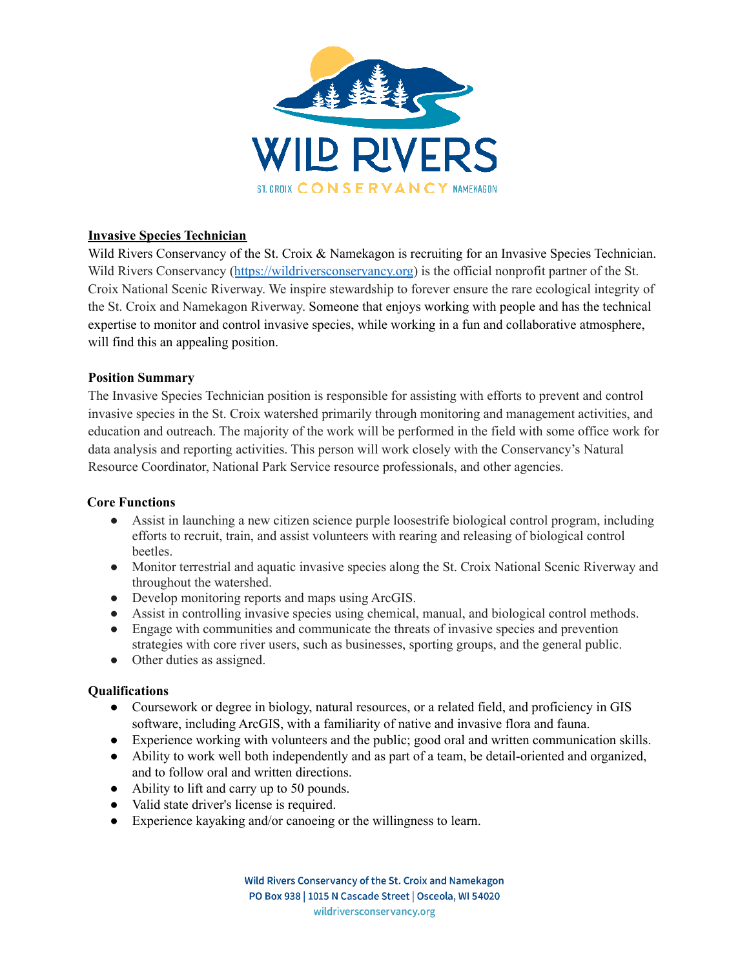

# **Invasive Species Technician**

Wild Rivers Conservancy of the St. Croix & Namekagon is recruiting for an Invasive Species Technician. Wild Rivers Conservancy (<https://wildriversconservancy.org>) is the official nonprofit partner of the St. Croix National Scenic Riverway. We inspire stewardship to forever ensure the rare ecological integrity of the St. Croix and Namekagon Riverway. Someone that enjoys working with people and has the technical expertise to monitor and control invasive species, while working in a fun and collaborative atmosphere, will find this an appealing position.

### **Position Summary**

The Invasive Species Technician position is responsible for assisting with efforts to prevent and control invasive species in the St. Croix watershed primarily through monitoring and management activities, and education and outreach. The majority of the work will be performed in the field with some office work for data analysis and reporting activities. This person will work closely with the Conservancy's Natural Resource Coordinator, National Park Service resource professionals, and other agencies.

### **Core Functions**

- Assist in launching a new citizen science purple loosestrife biological control program, including efforts to recruit, train, and assist volunteers with rearing and releasing of biological control beetles.
- Monitor terrestrial and aquatic invasive species along the St. Croix National Scenic Riverway and throughout the watershed.
- Develop monitoring reports and maps using ArcGIS.
- Assist in controlling invasive species using chemical, manual, and biological control methods.
- Engage with communities and communicate the threats of invasive species and prevention strategies with core river users, such as businesses, sporting groups, and the general public.
- Other duties as assigned.

### **Qualifications**

- Coursework or degree in biology, natural resources, or a related field, and proficiency in GIS software, including ArcGIS, with a familiarity of native and invasive flora and fauna.
- Experience working with volunteers and the public; good oral and written communication skills.
- Ability to work well both independently and as part of a team, be detail-oriented and organized, and to follow oral and written directions.
- Ability to lift and carry up to 50 pounds.
- Valid state driver's license is required.
- Experience kayaking and/or canoeing or the willingness to learn.

Wild Rivers Conservancy of the St. Croix and Namekagon PO Box 938 | 1015 N Cascade Street | Osceola, WI 54020 wildriversconservancy.org